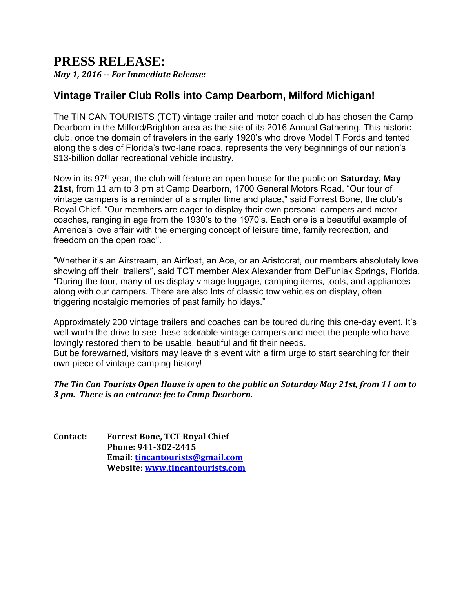## **PRESS RELEASE:**

*May 1, 2016 -- For Immediate Release:*

## **Vintage Trailer Club Rolls into Camp Dearborn, Milford Michigan!**

The TIN CAN TOURISTS (TCT) vintage trailer and motor coach club has chosen the Camp Dearborn in the Milford/Brighton area as the site of its 2016 Annual Gathering. This historic club, once the domain of travelers in the early 1920's who drove Model T Fords and tented along the sides of Florida's two-lane roads, represents the very beginnings of our nation's \$13-billion dollar recreational vehicle industry.

Now in its 97<sup>th</sup> year, the club will feature an open house for the public on **Saturday, May 21st**, from 11 am to 3 pm at Camp Dearborn, 1700 General Motors Road. "Our tour of vintage campers is a reminder of a simpler time and place," said Forrest Bone, the club's Royal Chief. "Our members are eager to display their own personal campers and motor coaches, ranging in age from the 1930's to the 1970's. Each one is a beautiful example of America's love affair with the emerging concept of leisure time, family recreation, and freedom on the open road".

"Whether it's an Airstream, an Airfloat, an Ace, or an Aristocrat, our members absolutely love showing off their trailers", said TCT member Alex Alexander from DeFuniak Springs, Florida. "During the tour, many of us display vintage luggage, camping items, tools, and appliances along with our campers. There are also lots of classic tow vehicles on display, often triggering nostalgic memories of past family holidays."

Approximately 200 vintage trailers and coaches can be toured during this one-day event. It's well worth the drive to see these adorable vintage campers and meet the people who have lovingly restored them to be usable, beautiful and fit their needs. But be forewarned, visitors may leave this event with a firm urge to start searching for their own piece of vintage camping history!

*The Tin Can Tourists Open House is open to the public on Saturday May 21st, from 11 am to 3 pm. There is an entrance fee to Camp Dearborn.*

**Contact: Forrest Bone, TCT Royal Chief Phone: 941-302-2415 Email: [tincantourists@gmail.com](mailto:tincantourists@gmail.com) Website: [www.tincantourists.com](http://www.tincantourists.com/)**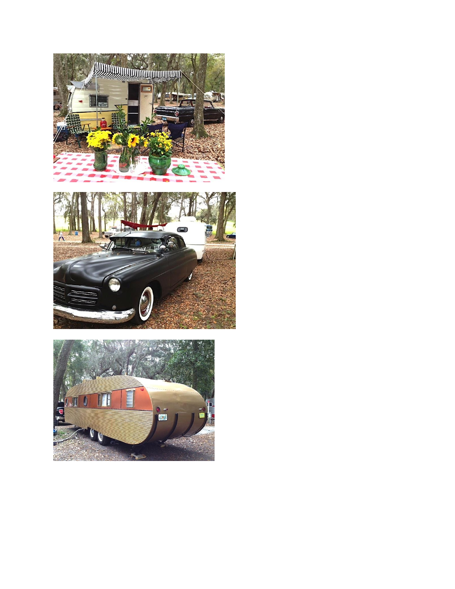